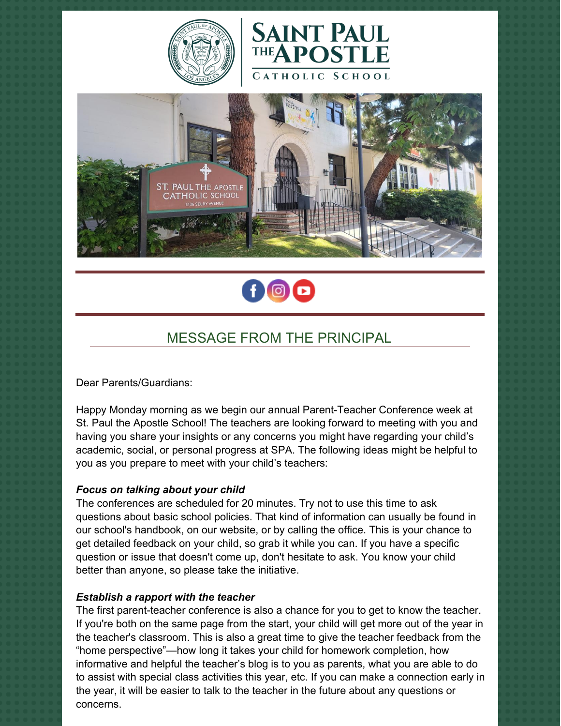







## MESSAGE FROM THE PRINCIPAL

Dear Parents/Guardians:

Happy Monday morning as we begin our annual Parent-Teacher Conference week at St. Paul the Apostle School! The teachers are looking forward to meeting with you and having you share your insights or any concerns you might have regarding your child's academic, social, or personal progress at SPA. The following ideas might be helpful to you as you prepare to meet with your child's teachers:

### *Focus on talking about your child*

The conferences are scheduled for 20 minutes. Try not to use this time to ask questions about basic school policies. That kind of information can usually be found in our school's handbook, on our website, or by calling the office. This is your chance to get detailed feedback on your child, so grab it while you can. If you have a specific question or issue that doesn't come up, don't hesitate to ask. You know your child better than anyone, so please take the initiative.

### *Establish a rapport with the teacher*

The first parent-teacher conference is also a chance for you to get to know the teacher. If you're both on the same page from the start, your child will get more out of the year in the teacher's classroom. This is also a great time to give the teacher feedback from the "home perspective"—how long it takes your child for homework completion, how informative and helpful the teacher's blog is to you as parents, what you are able to do to assist with special class activities this year, etc. If you can make a connection early in the year, it will be easier to talk to the teacher in the future about any questions or concerns.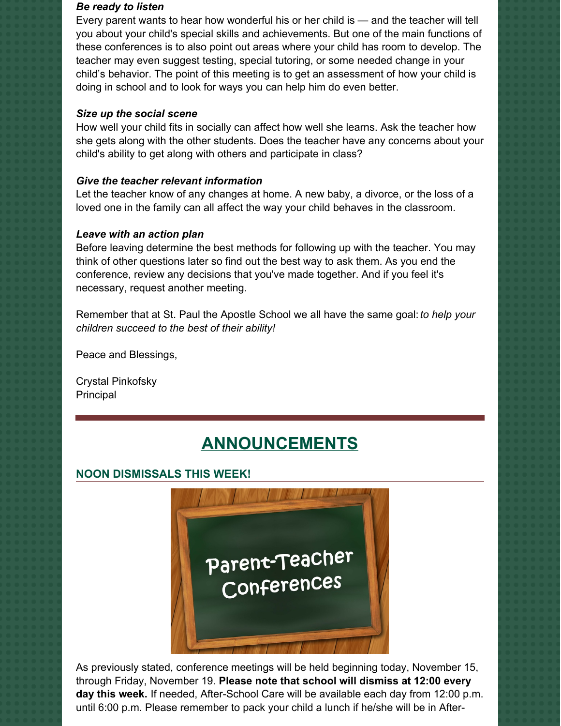#### *Be ready to listen*

Every parent wants to hear how wonderful his or her child is — and the teacher will tell you about your child's special skills and achievements. But one of the main functions of these conferences is to also point out areas where your child has room to develop. The teacher may even suggest testing, special tutoring, or some needed change in your child's behavior. The point of this meeting is to get an assessment of how your child is doing in school and to look for ways you can help him do even better.

## *Size up the social scene*

How well your child fits in socially can affect how well she learns. Ask the teacher how she gets along with the other students. Does the teacher have any concerns about your child's ability to get along with others and participate in class?

## *Give the teacher relevant information*

Let the teacher know of any changes at home. A new baby, a divorce, or the loss of a loved one in the family can all affect the way your child behaves in the classroom.

## *Leave with an action plan*

Before leaving determine the best methods for following up with the teacher. You may think of other questions later so find out the best way to ask them. As you end the conference, review any decisions that you've made together. And if you feel it's necessary, request another meeting.

Remember that at St. Paul the Apostle School we all have the same goal:*to help your children succeed to the best of their ability!*

Peace and Blessings,

Crystal Pinkofsky Principal

# **ANNOUNCEMENTS**

## **NOON DISMISSALS THIS WEEK!**



As previously stated, conference meetings will be held beginning today, November 15, through Friday, November 19. **Please note that school will dismiss at 12:00 every day this week.** If needed, After-School Care will be available each day from 12:00 p.m. until 6:00 p.m. Please remember to pack your child a lunch if he/she will be in After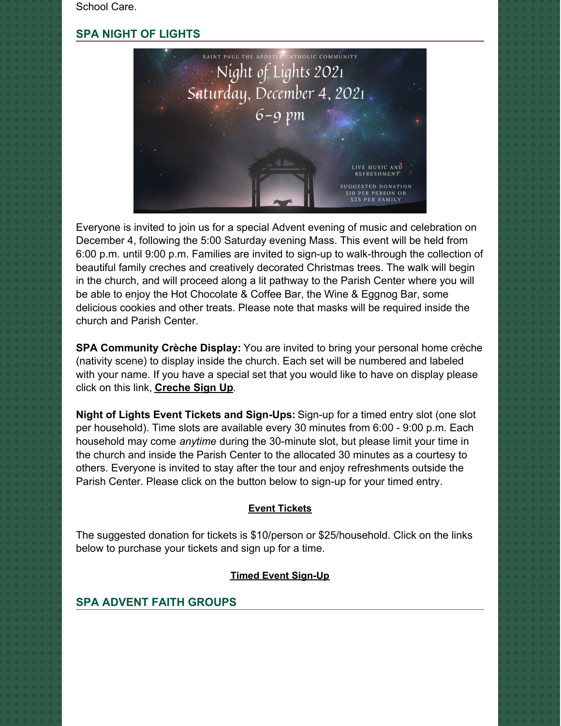School Care.

## **SPA NIGHT OF LIGHTS**



Everyone is invited to join us for a special Advent evening of music and celebration on December 4, following the 5:00 Saturday evening Mass. This event will be held from 6:00 p.m. until 9:00 p.m. Families are invited to sign-up to walk-through the collection of beautiful family creches and creatively decorated Christmas trees. The walk will begin in the church, and will proceed along a lit pathway to the Parish Center where you will be able to enjoy the Hot Chocolate & Coffee Bar, the Wine & Eggnog Bar, some delicious cookies and other treats. Please note that masks will be required inside the church and Parish Center.

**SPA Community Crèche Display:** You are invited to bring your personal home crèche (nativity scene) to display inside the church. Each set will be numbered and labeled with your name. If you have a special set that you would like to have on display please click on this link, **[Creche](https://r20.rs6.net/tn.jsp?f=001bpQnVBmfFLWzJDL99dbsQ1tyMHozCf9l-lZEy6HF8KYOsDeJjL23Y27v5QMZ6XkGXRGyOiHat2FyTanbAyhNPghO5O5hVQBn8cG8v8V5gEBRqtGnTtG6N2QwF1-4yY98XKLvmGBCHES4f4rHY9343tCbf07X8YjwPXEhR0fR7Afc6IMU52-ozW6soCxhyPIqxkEEY2u6cleOA19Er46lt6yJw-sZuNQHPqqrJyll2Wu39Gwu2glWu-MJ2K8C4l7yhb8owYXBW8UnL37cWev1iqpUE4T6OnSF&c=ZVnHewhkeBj_fjz2ieInVPHgsycds2hR4w5gj1Ux315y6Y34OSeuwg==&ch=Qv60jGo1EQ-YsKF3kKoSzBs9uf1cKKUxjqjsqRAcPIZ0UfKA3WIH2Q==) Sign Up**.

**Night of Lights Event Tickets and Sign-Ups:** Sign-up for a timed entry slot (one slot per household). Time slots are available every 30 minutes from 6:00 - 9:00 p.m. Each household may come *anytime* during the 30-minute slot, but please limit your time in the church and inside the Parish Center to the allocated 30 minutes as a courtesy to others. Everyone is invited to stay after the tour and enjoy refreshments outside the Parish Center. Please click on the button below to sign-up for your timed entry.

## **Event [Tickets](https://r20.rs6.net/tn.jsp?f=001aNtUMhxZpFzNsYQPlVbrkaZPaWCs6ZLU_sG80dwGF-bHKWQZqUwoA5lJflziRzT1RytxNDZJWUNbISV2e_SDmZjgXVp81MvK2kZBgsJfW6PbURrn1ahvnlk2O-zhxalv7cniJxkA2mypPf85tmcmqD92qLYfY1GjIjyaB_aI3jhlJgze9CAChE2Phkrq_OfjSSMhq73BH-a5-5aXGy8DKg==&c=Jq3J6IYW9Y4RqCZedQG7n3Wj95OfiAvScJgQZvXkBYOwTwN95uof6Q==&ch=4stAJ8poqI4abPts-hIQ5-dqNbNZv0HUNo1rHX0MJXAmT9L6jpnQfg==)**

The suggested donation for tickets is \$10/person or \$25/household. Click on the links below to purchase your tickets and sign up for a time.

#### **Timed Event [Sign-Up](https://r20.rs6.net/tn.jsp?f=001aNtUMhxZpFzNsYQPlVbrkaZPaWCs6ZLU_sG80dwGF-bHKWQZqUwoA5lJflziRzT1sRf1aKnwifuZzzz9se-eDnTkBmOI-IQxcvgMMgoBcWKqLmJQ1No1iiOAhHTOusH4TdcXQXmyFkuL0D59C3jL4jNNw3MlaJgPFYaZ8kvy5acVNkOYOQBlxh-hvVeAZmOt&c=Jq3J6IYW9Y4RqCZedQG7n3Wj95OfiAvScJgQZvXkBYOwTwN95uof6Q==&ch=4stAJ8poqI4abPts-hIQ5-dqNbNZv0HUNo1rHX0MJXAmT9L6jpnQfg==)**

## **SPA ADVENT FAITH GROUPS**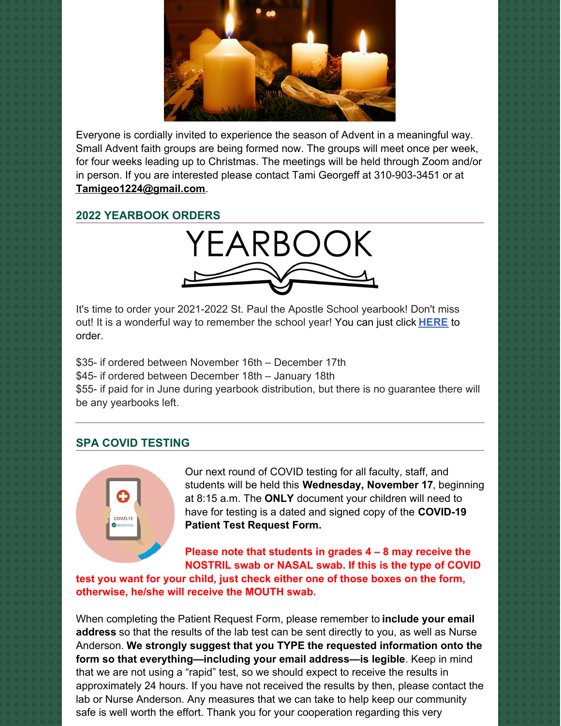

Everyone is cordially invited to experience the season of Advent in a meaningful way. Small Advent faith groups are being formed now. The groups will meet once per week, for four weeks leading up to Christmas. The meetings will be held through Zoom and/or in person. If you are interested please contact Tami Georgeff at 310-903-3451 or at **[Tamigeo1224@gmail.com](mailto:Tamigeo1224@gmail.com)**.

## **2022 YEARBOOK ORDERS**



It's time to order your 2021-2022 St. Paul the Apostle School yearbook! Don't miss out! It is a wonderful way to remember the school year! You can just click **[HERE](https://www.prestoregister.com/cgi-bin/order.pl?ref=spapostle_school&fm=3)** to order.

\$35- if ordered between November 16th – December 17th \$45- if ordered between December 18th – January 18th \$55- if paid for in June during yearbook distribution, but there is no guarantee there will be any yearbooks left.

## **SPA COVID TESTING**



Our next round of COVID testing for all faculty, staff, and students will be held this **Wednesday, November 17**, beginning at 8:15 a.m. The **ONLY** document your children will need to have for testing is a dated and signed copy of the **COVID-19 Patient Test Request Form.**

**Please note that students in grades 4 – 8 may receive the NOSTRIL swab or NASAL swab. If this is the type of COVID**

**test you want for your child, just check either one of those boxes on the form, otherwise, he/she will receive the MOUTH swab.**

When completing the Patient Request Form, please remember to **include your email address** so that the results of the lab test can be sent directly to you, as well as Nurse Anderson. **We strongly suggest that you TYPE the requested information onto the form so that everything—including your email address—is legible**. Keep in mind that we are not using a "rapid" test, so we should expect to receive the results in approximately 24 hours. If you have not received the results by then, please contact the lab or Nurse Anderson. Any measures that we can take to help keep our community safe is well worth the effort. Thank you for your cooperation regarding this very